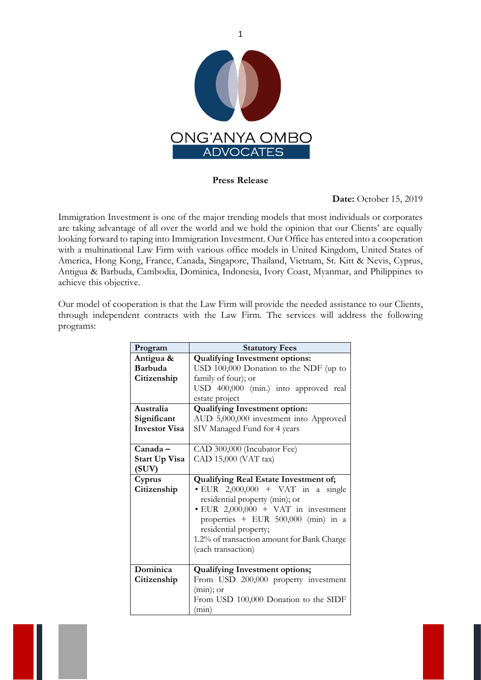

1

## **Press Release**

## **Date:** October 15, 2019

Immigration Investment is one of the major trending models that most individuals or corporates are taking advantage of all over the world and we hold the opinion that our Clients' are equally looking forward to taping into Immigration Investment. Our Office has entered into a cooperation with a multinational Law Firm with various office models in United Kingdom, United States of America, Hong Kong, France, Canada, Singapore, Thailand, Vietnam, St. Kitt & Nevis, Cyprus, Antigua & Barbuda, Cambodia, Dominica, Indonesia, Ivory Coast, Myanmar, and Philippines to achieve this objective.

Our model of cooperation is that the Law Firm will provide the needed assistance to our Clients, through independent contracts with the Law Firm. The services will address the following programs:

| Program              | <b>Statutory Fees</b>                        |
|----------------------|----------------------------------------------|
| Antigua &            | <b>Qualifying Investment options:</b>        |
| Barbuda              | USD 100,000 Donation to the NDF (up to       |
| Citizenship          | family of four); or                          |
|                      | USD 400,000 (min.) into approved real        |
|                      | estate project                               |
| Australia            | <b>Qualifying Investment option:</b>         |
| Significant          | AUD 5,000,000 investment into Approved       |
| <b>Investor Visa</b> | SIV Managed Fund for 4 years                 |
|                      |                                              |
| $Canada -$           | CAD 300,000 (Incubator Fee)                  |
| Start Up Visa        | CAD 15,000 (VAT tax)                         |
| (SUV)                |                                              |
| Cyprus               | <b>Qualifying Real Estate Investment of;</b> |
| Citizenship          | $\bullet$ EUR 2,000,000 + VAT in a single    |
|                      | residential property (min); or               |
|                      | $\cdot$ EUR 2,000,000 + VAT in investment    |
|                      | properties $+$ EUR 500,000 (min) in a        |
|                      | residential property;                        |
|                      | 1.2% of transaction amount for Bank Charge   |
|                      | (each transaction)                           |
|                      |                                              |
| Dominica             | <b>Qualifying Investment options;</b>        |
| Citizenship          | From USD 200,000 property investment         |
|                      | $(min)$ ; or                                 |
|                      | From USD 100,000 Donation to the SIDF        |
|                      | (min)                                        |